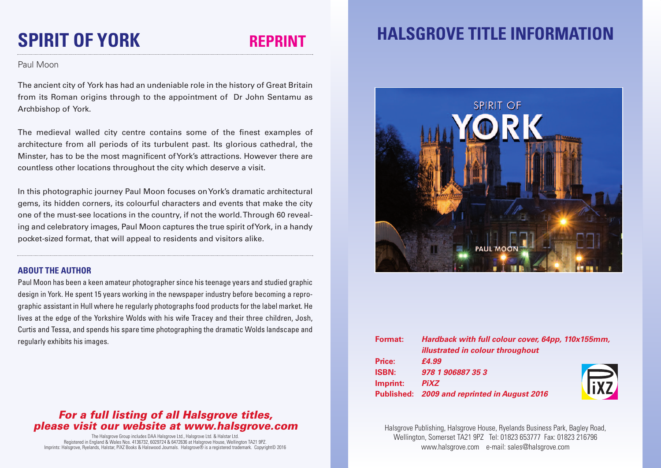# **SPIRIT OF YORK REPRINT**

#### Paul Moon

The ancient city of York has had an undeniable role in the history of Great Britain from its Roman origins through to the appointment of Dr John Sentamu as Archbishop of York.

The medieval walled city centre contains some of the finest examples of architecture from all periods of its turbulent past. Its glorious cathedral, the Minster, has to be the most magnificent ofYork's attractions. However there are countless other locations throughout the city which deserve a visit.

In this photographic journey Paul Moon focuses onYork's dramatic architectural gems, its hidden corners, its colourful characters and events that make the city one of the must-see locations in the country, if not the world.Through 60 revealing and celebratory images, Paul Moon captures the true spirit ofYork, in a handy pocket-sized format, that will appeal to residents and visitors alike.

#### **ABOUT THE AUTHOR**

Paul Moon has been a keen amateur photographer since his teenage years and studied graphic design in York. He spent 15 years working in the newspaper industry before becoming a reprographic assistant in Hull where he regularly photographs food products for the label market. He lives at the edge of the Yorkshire Wolds with his wife Tracey and their three children, Josh, Curtis and Tessa, and spends his spare time photographing the dramatic Wolds landscape and regularly exhibits his images.

### *For a full listing of all Halsgrove titles, please visit our website at www.halsgrove.com*

The Halsgrove Group includes DAA Halsgrove Ltd., Halsgrove Ltd. & Halstar Ltd. Registered in England & Wales Nos. 4136732, 6029724 & 6472636 at Halsgrove House, Wellington TA21 9PZ. Imprints: Halsgrove, Ryelands, Halstar, PiXZ Books & Halswood Journals. Halsgrove® is a registered trademark. Copyright© 2016

## **HALSGROVE TITLE INFORMATION**



| Format:      | Hardback with full colour cover, 64pp, 110x155mm, |                 |
|--------------|---------------------------------------------------|-----------------|
|              | illustrated in colour throughout                  |                 |
| Price:       | £4.99                                             |                 |
| <b>ISBN:</b> | 978 1 906887 35 3                                 |                 |
| Imprint:     | <b>PiXZ</b>                                       | $\overline{11}$ |
|              | Published: 2009 and reprinted in August 2016      |                 |
|              |                                                   |                 |

Halsgrove Publishing, Halsgrove House, Ryelands Business Park, Bagley Road, Wellington, Somerset TA21 9PZ Tel: 01823 653777 Fax: 01823 216796 www.halsgrove.com e-mail: sales@halsgrove.com